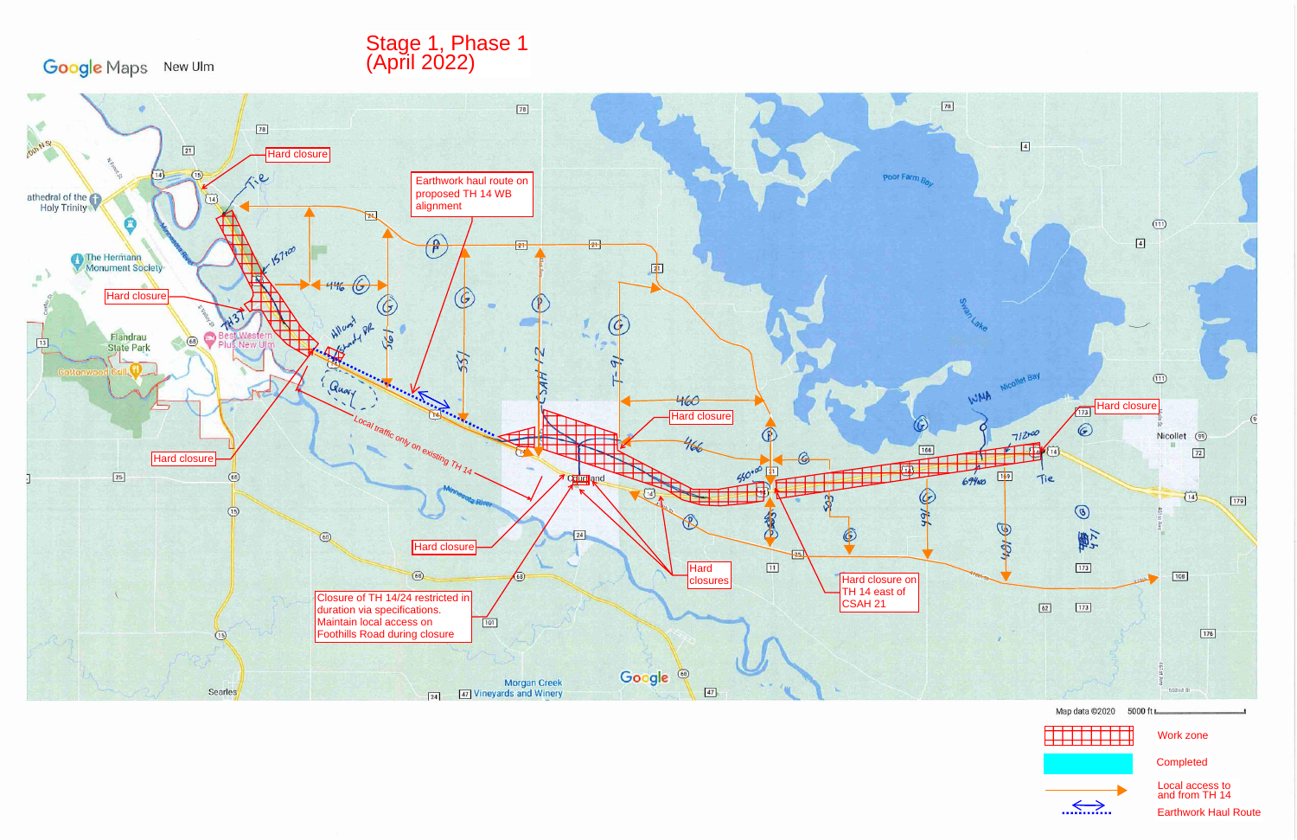## Stage 1, Phase 1 (April 2022)

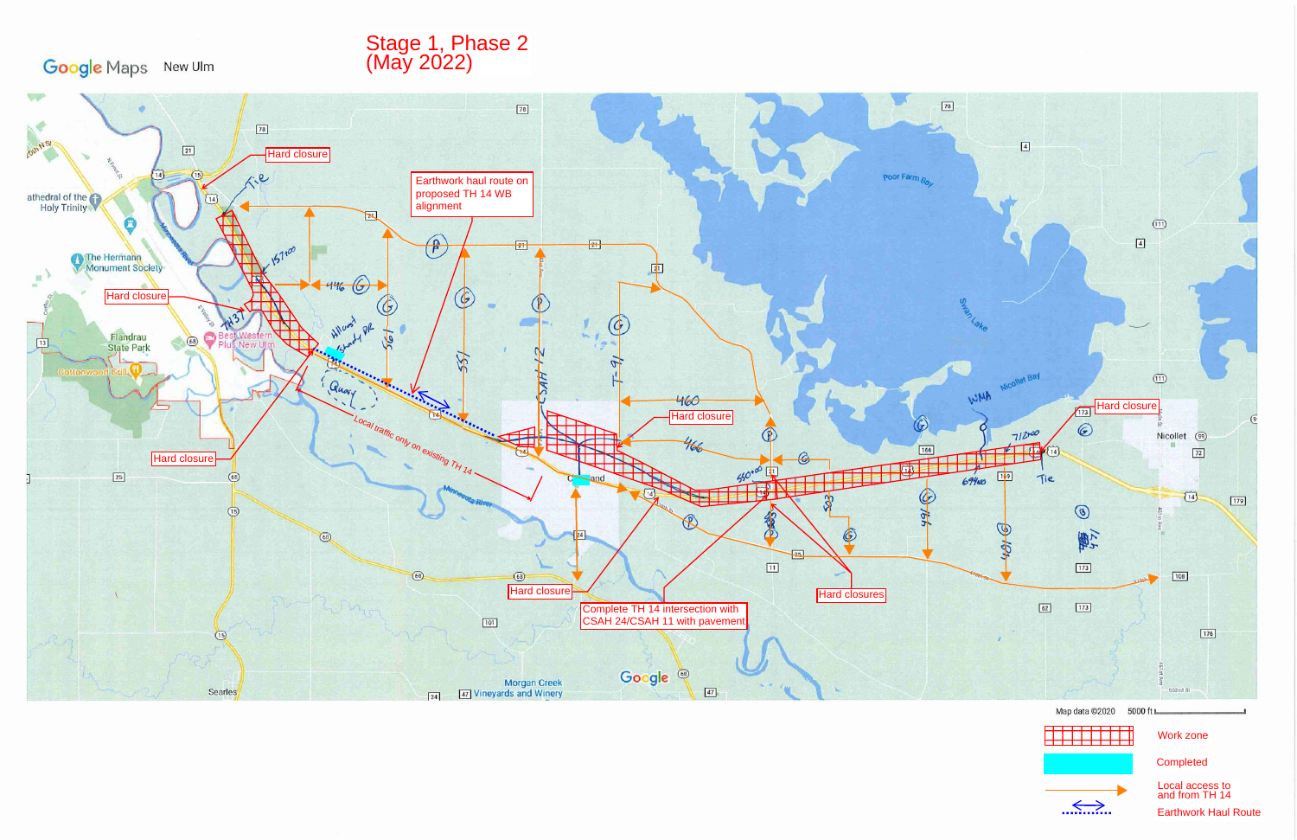## Stage 1, Phase 2 (May 2022)

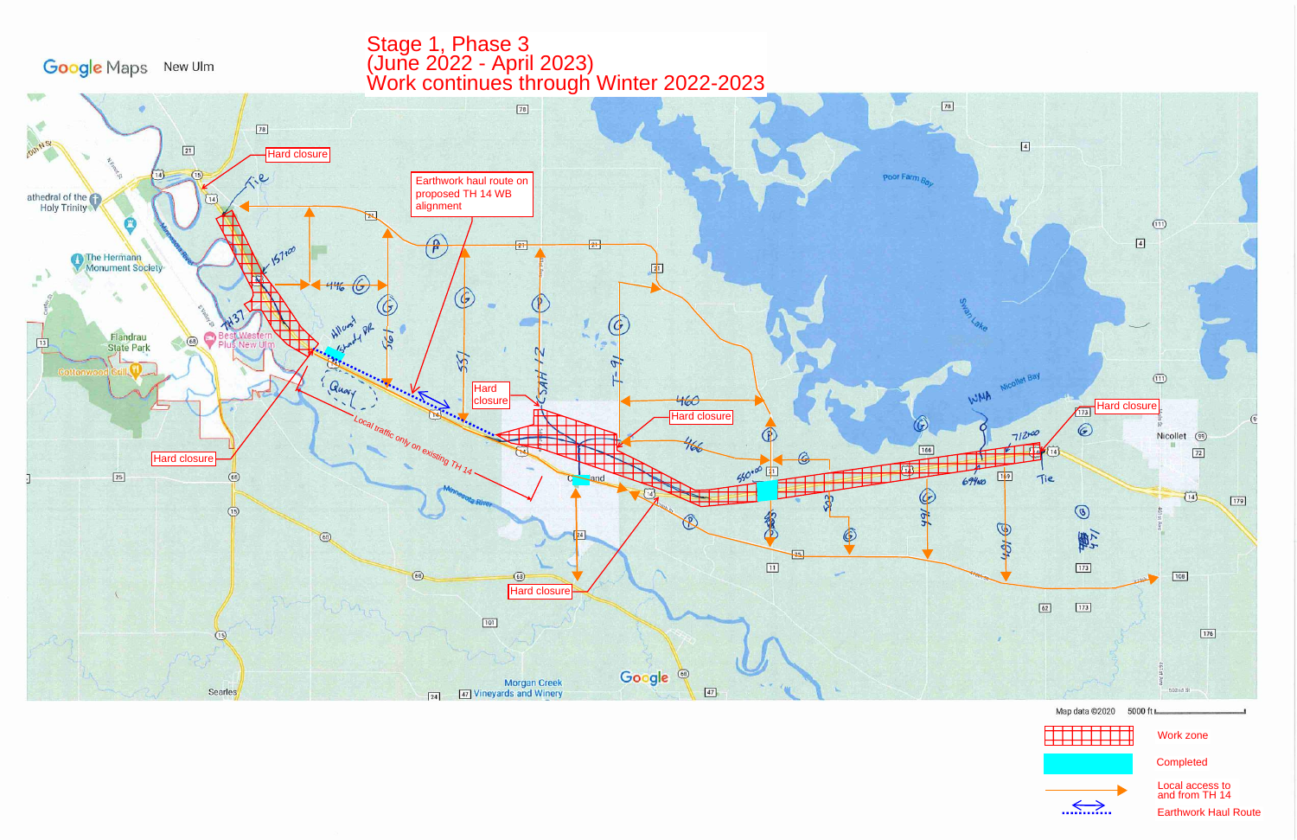## Stage 1, Phase 3<br>(June 2022 - April 2023)<br>Work continues through Winter 2022-2023

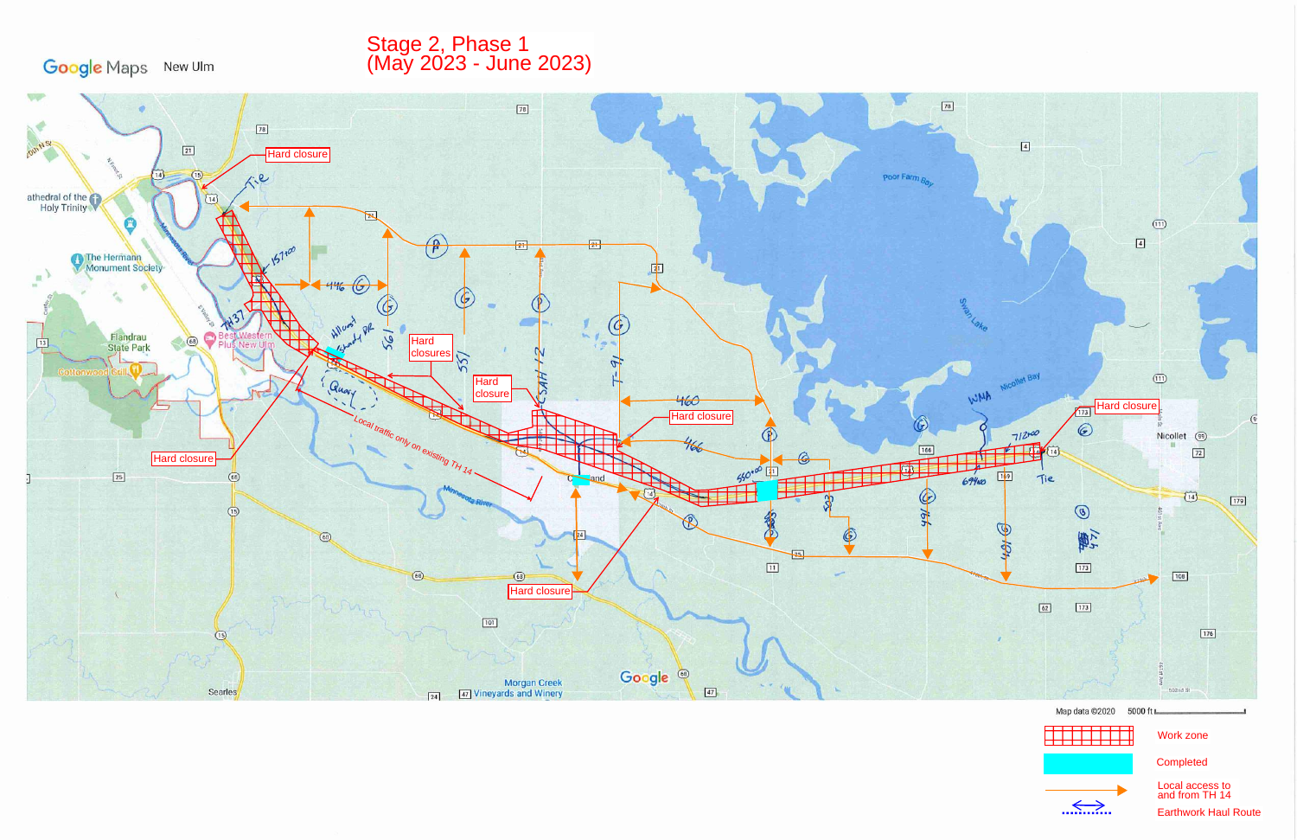Stage 2, Phase 1 (May 2023 - June 2023)

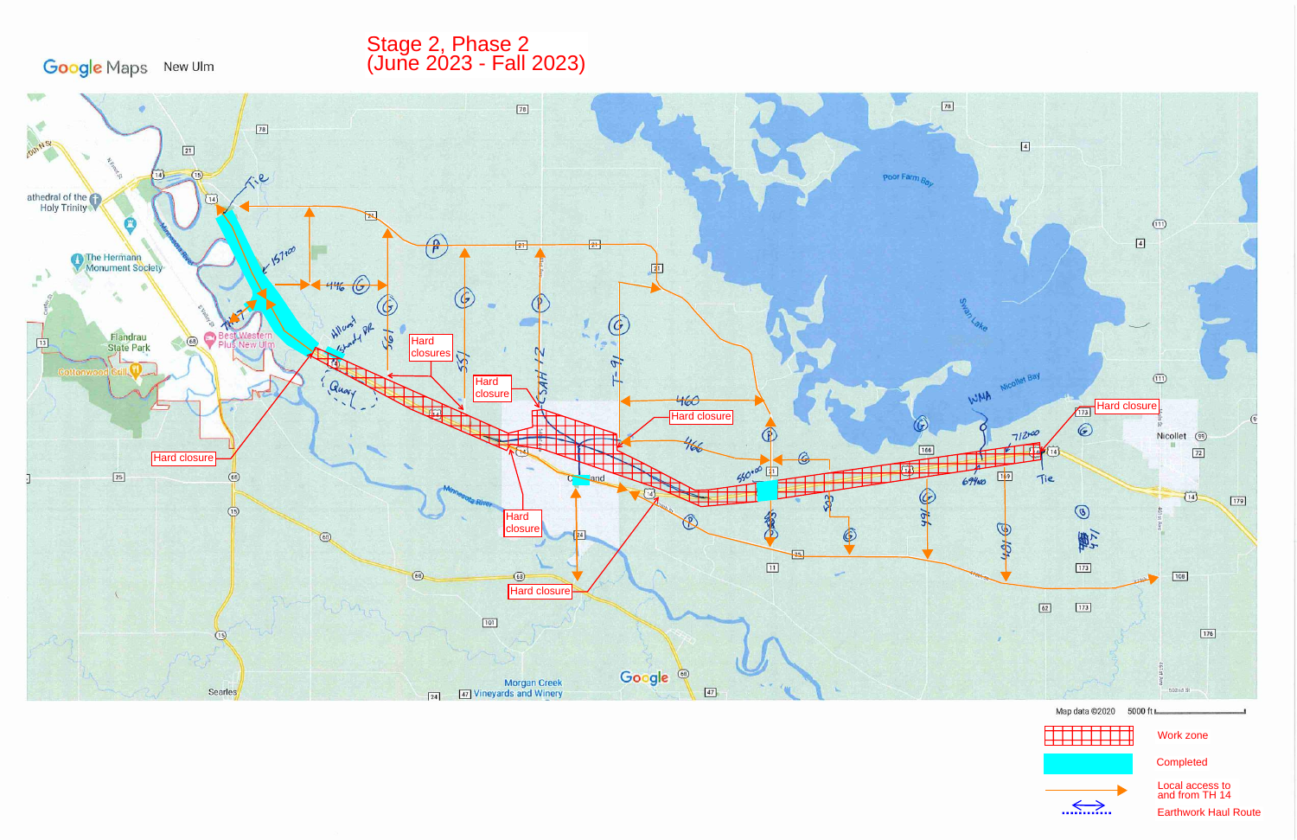Stage 2, Phase 2 (June 2023 - Fall 2023)

Google Maps New Ulm

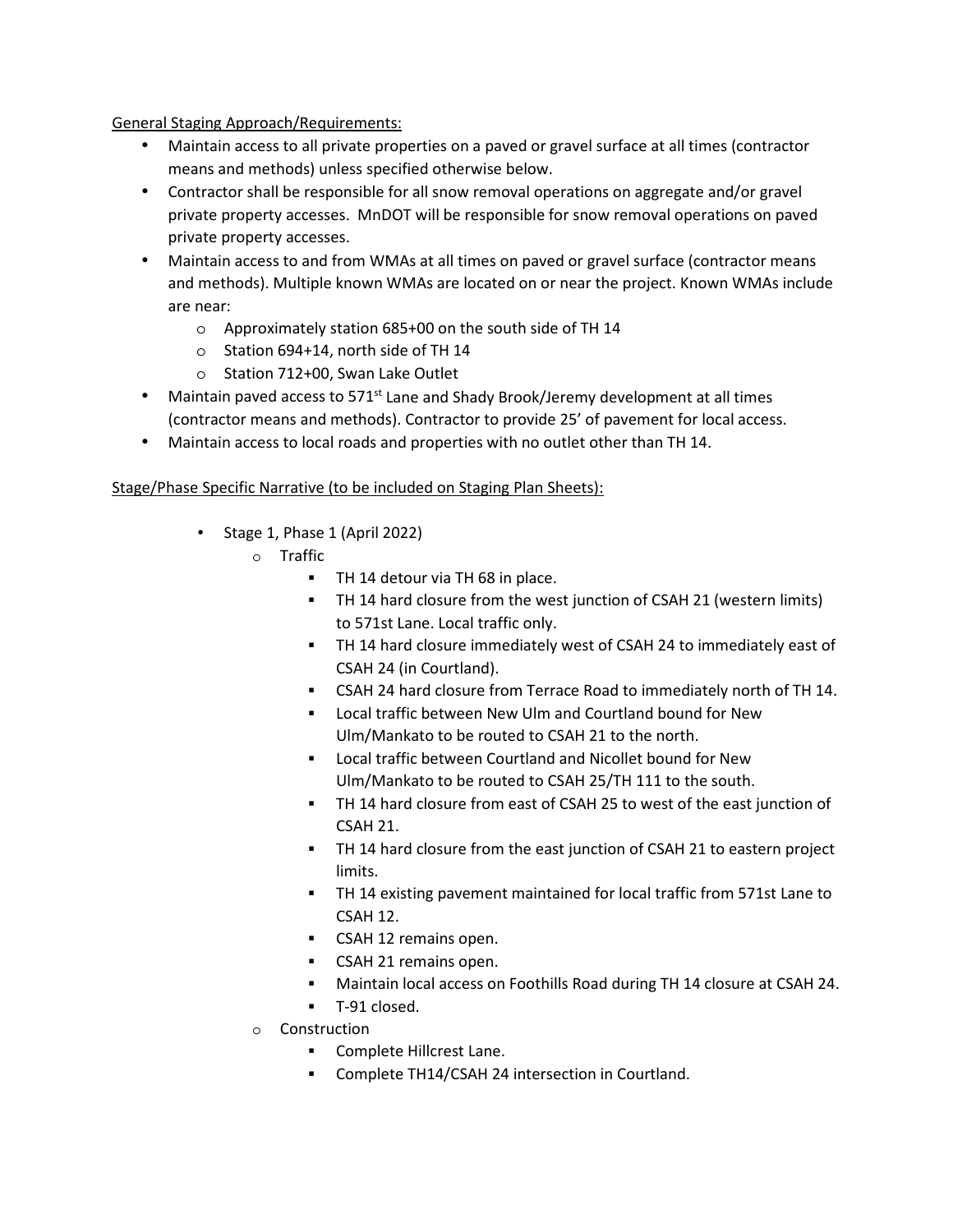General Staging Approach/Requirements:

- • Maintain access to all private properties on a paved or gravel surface at all times (contractor means and methods) unless specified otherwise below.
- • Contractor shall be responsible for all snow removal operations on aggregate and/or gravel private property accesses. MnDOT will be responsible for snow removal operations on paved private property accesses.
- • Maintain access to and from WMAs at all times on paved or gravel surface (contractor means and methods). Multiple known WMAs are located on or near the project. Known WMAs include are near:
	- o Approximately station 685+00 on the south side of TH 14
	- o Station 694+14, north side of TH 14
	- o Station 712+00, Swan Lake Outlet
- Maintain paved access to 571<sup>st</sup> Lane and Shady Brook/Jeremy development at all times (contractor means and methods). Contractor to provide 25' of pavement for local access.
- Maintain access to local roads and properties with no outlet other than TH 14.

## Stage/Phase Specific Narrative (to be included on Staging Plan Sheets):

- • Stage 1, Phase 1 (April 2022)
	- o Traffic
		- TH 14 detour via TH 68 in place.
		- • TH 14 hard closure from the west junction of CSAH 21 (western limits) to 571st Lane. Local traffic only.
		- • TH 14 hard closure immediately west of CSAH 24 to immediately east of CSAH 24 (in Courtland).
		- CSAH 24 hard closure from Terrace Road to immediately north of TH 14.
		- • Local traffic between New Ulm and Courtland bound for New Ulm/Mankato to be routed to CSAH 21 to the north.
		- • Local traffic between Courtland and Nicollet bound for New Ulm/Mankato to be routed to CSAH 25/TH 111 to the south.
		- • TH 14 hard closure from east of CSAH 25 to west of the east junction of CSAH 21.
		- • TH 14 hard closure from the east junction of CSAH 21 to eastern project limits.
		- • TH 14 existing pavement maintained for local traffic from 571st Lane to CSAH 12.
		- CSAH 12 remains open.
		- CSAH 21 remains open.
		- Maintain local access on Foothills Road during TH 14 closure at CSAH 24.
		- T-91 closed.
	- o Construction
		- Complete Hillcrest Lane.
		- Complete TH14/CSAH 24 intersection in Courtland.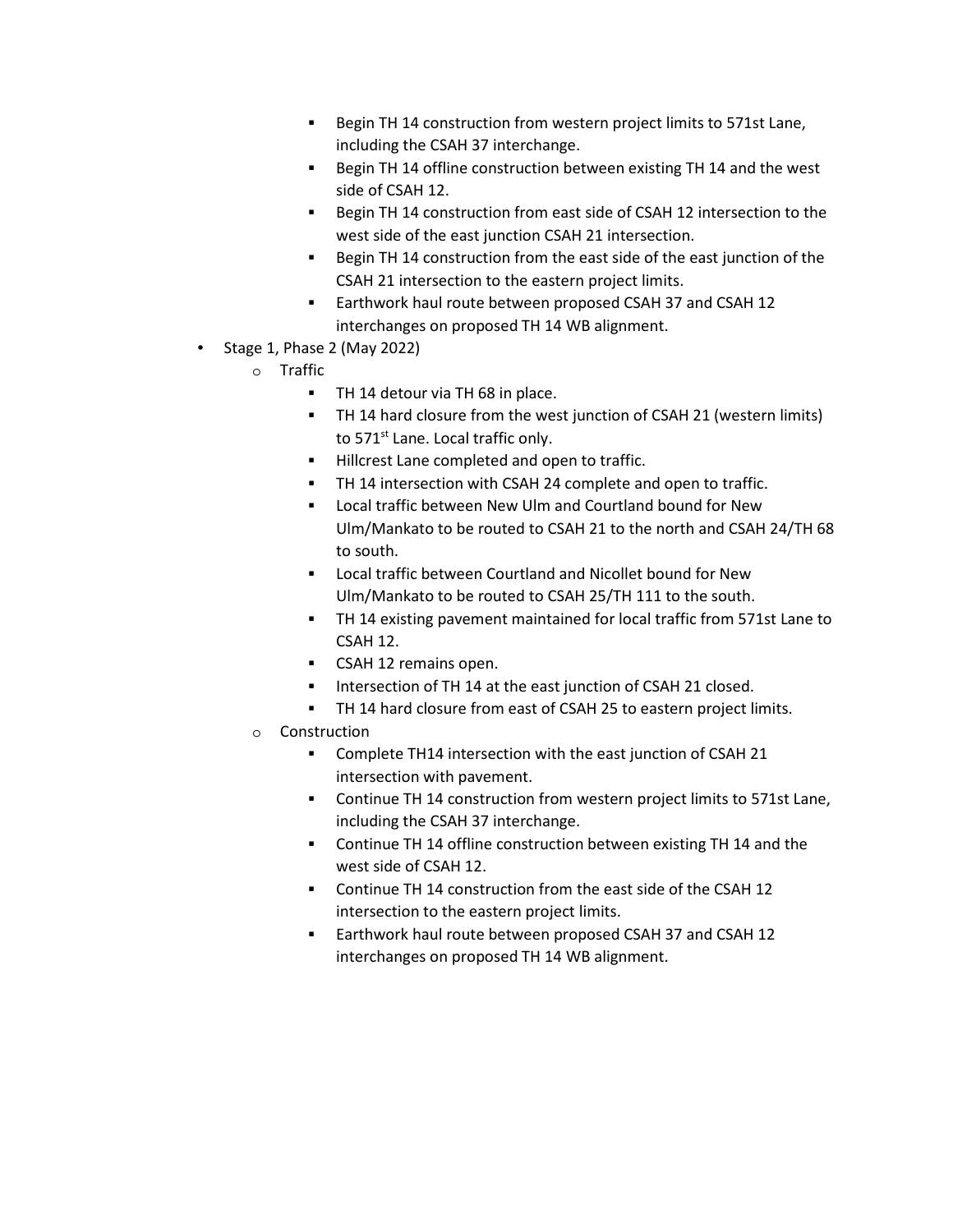- • Begin TH 14 construction from western project limits to 571st Lane, including the CSAH 37 interchange.
- • Begin TH 14 offline construction between existing TH 14 and the west side of CSAH 12.
- • Begin TH 14 construction from east side of CSAH 12 intersection to the west side of the east junction CSAH 21 intersection.
- • Begin TH 14 construction from the east side of the east junction of the CSAH 21 intersection to the eastern project limits.
- • Earthwork haul route between proposed CSAH 37 and CSAH 12 interchanges on proposed TH 14 WB alignment.
- • Stage 1, Phase 2 (May 2022)
	- o Traffic
		- TH 14 detour via TH 68 in place.
		- • TH 14 hard closure from the west junction of CSAH 21 (western limits) to 571<sup>st</sup> Lane. Local traffic only.
		- Hillcrest Lane completed and open to traffic.
		- TH 14 intersection with CSAH 24 complete and open to traffic.
		- • Local traffic between New Ulm and Courtland bound for New Ulm/Mankato to be routed to CSAH 21 to the north and CSAH 24/TH 68 to south.
		- • Local traffic between Courtland and Nicollet bound for New Ulm/Mankato to be routed to CSAH 25/TH 111 to the south.
		- • TH 14 existing pavement maintained for local traffic from 571st Lane to CSAH 12.
		- CSAH 12 remains open.
		- Intersection of TH 14 at the east junction of CSAH 21 closed.
		- TH 14 hard closure from east of CSAH 25 to eastern project limits.
	- o Construction
		- • Complete TH14 intersection with the east junction of CSAH 21 intersection with pavement.
		- • Continue TH 14 construction from western project limits to 571st Lane, including the CSAH 37 interchange.
		- • Continue TH 14 offline construction between existing TH 14 and the west side of CSAH 12.
		- • Continue TH 14 construction from the east side of the CSAH 12 intersection to the eastern project limits.
		- • Earthwork haul route between proposed CSAH 37 and CSAH 12 interchanges on proposed TH 14 WB alignment.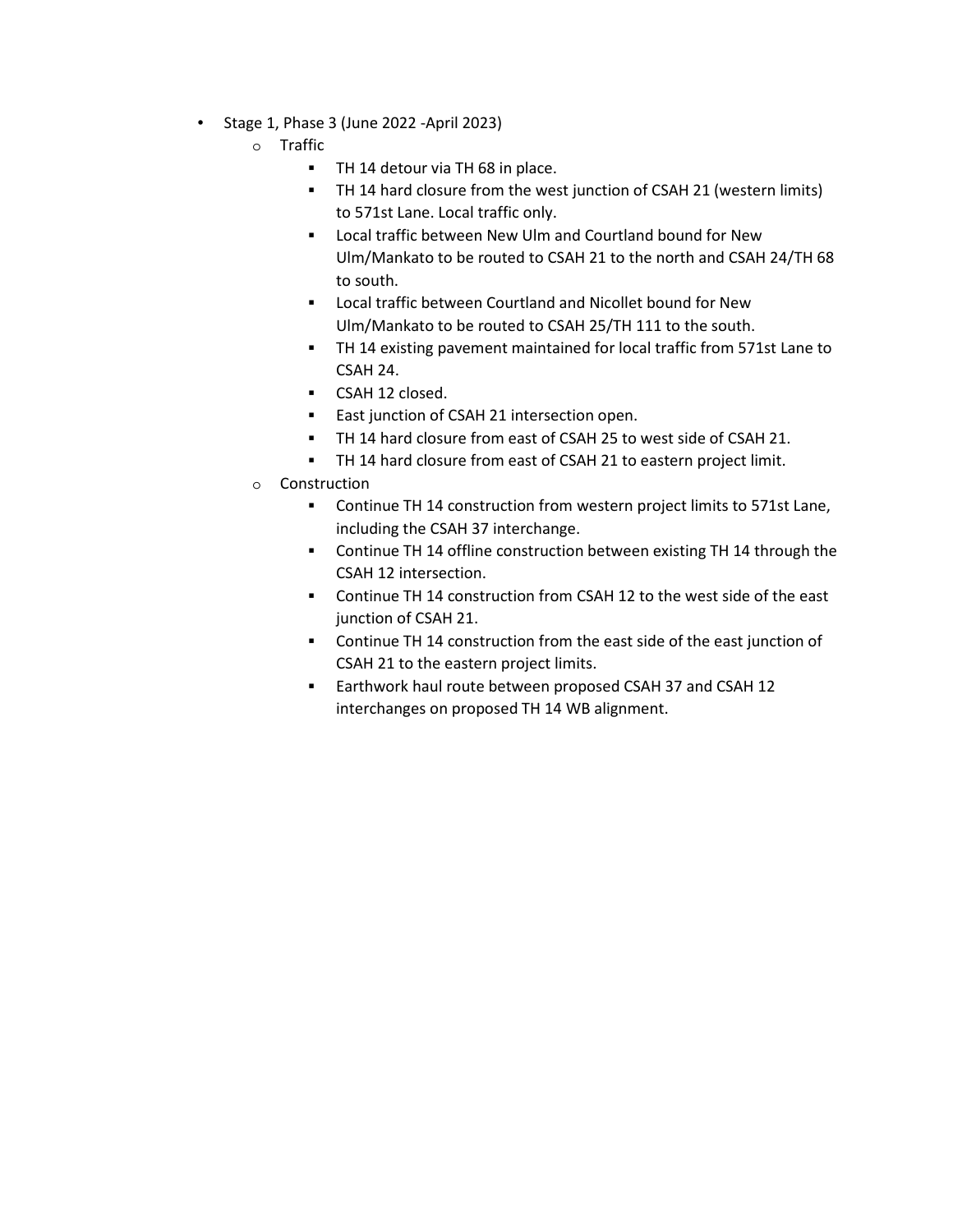- • Stage 1, Phase 3 (June 2022 -April 2023)
	- o Traffic
		- TH 14 detour via TH 68 in place.
		- • TH 14 hard closure from the west junction of CSAH 21 (western limits) to 571st Lane. Local traffic only.
		- • Local traffic between New Ulm and Courtland bound for New Ulm/Mankato to be routed to CSAH 21 to the north and CSAH 24/TH 68 to south.
		- • Local traffic between Courtland and Nicollet bound for New Ulm/Mankato to be routed to CSAH 25/TH 111 to the south.
		- • TH 14 existing pavement maintained for local traffic from 571st Lane to CSAH 24.
		- CSAH 12 closed.
		- East junction of CSAH 21 intersection open.
		- TH 14 hard closure from east of CSAH 25 to west side of CSAH 21.
		- TH 14 hard closure from east of CSAH 21 to eastern project limit.
	- o Construction
		- • Continue TH 14 construction from western project limits to 571st Lane, including the CSAH 37 interchange.
		- • Continue TH 14 offline construction between existing TH 14 through the CSAH 12 intersection.
		- • Continue TH 14 construction from CSAH 12 to the west side of the east junction of CSAH 21.
		- • Continue TH 14 construction from the east side of the east junction of CSAH 21 to the eastern project limits.
		- • Earthwork haul route between proposed CSAH 37 and CSAH 12 interchanges on proposed TH 14 WB alignment.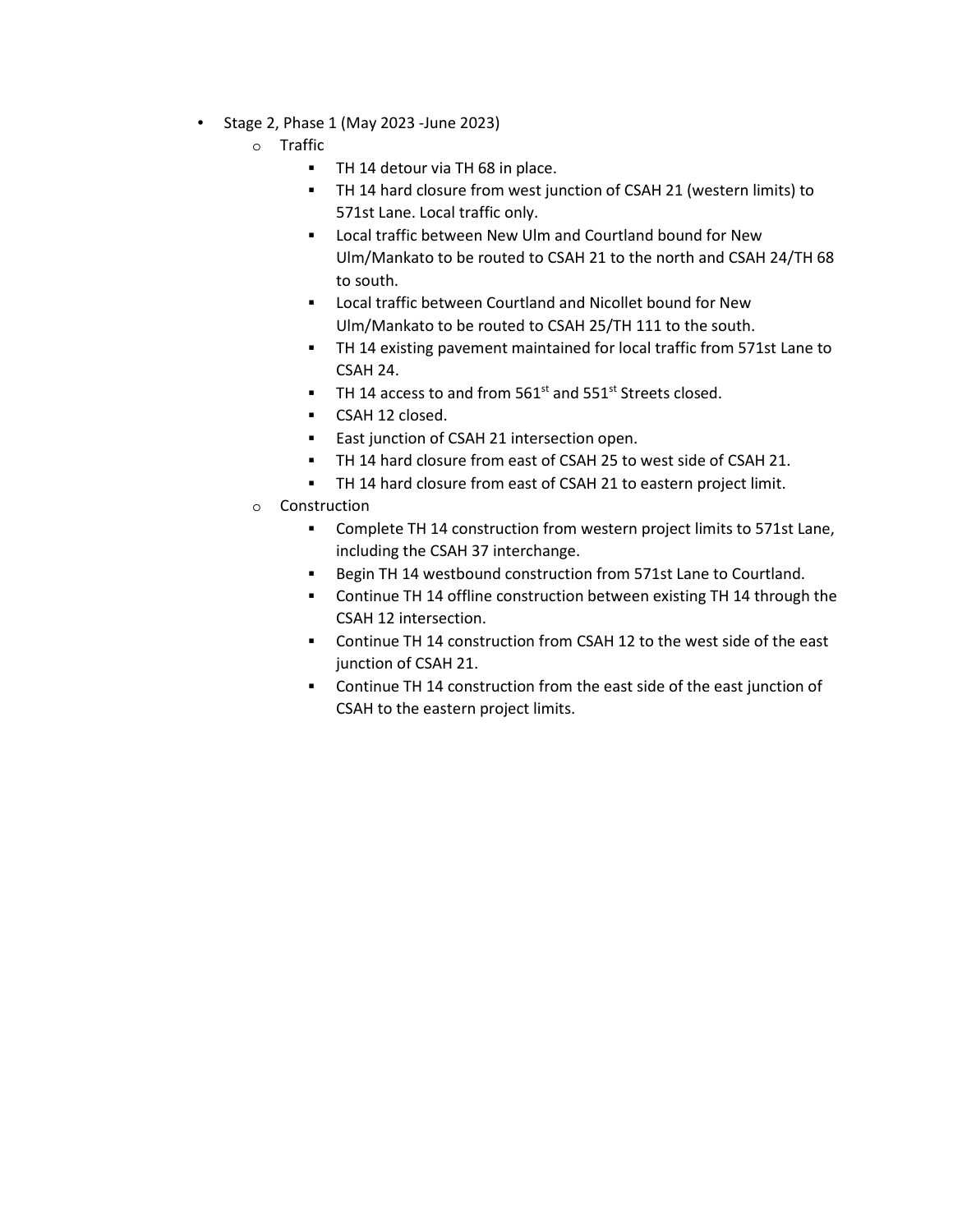- • Stage 2, Phase 1 (May 2023 -June 2023)
	- o Traffic
		- TH 14 detour via TH 68 in place.
		- • TH 14 hard closure from west junction of CSAH 21 (western limits) to 571st Lane. Local traffic only.
		- • Local traffic between New Ulm and Courtland bound for New Ulm/Mankato to be routed to CSAH 21 to the north and CSAH 24/TH 68 to south.
		- • Local traffic between Courtland and Nicollet bound for New Ulm/Mankato to be routed to CSAH 25/TH 111 to the south.
		- • TH 14 existing pavement maintained for local traffic from 571st Lane to CSAH 24.
		- $\blacksquare$  TH 14 access to and from 561<sup>st</sup> and 551<sup>st</sup> Streets closed.
		- CSAH 12 closed.
		- East junction of CSAH 21 intersection open.
		- TH 14 hard closure from east of CSAH 25 to west side of CSAH 21.
		- TH 14 hard closure from east of CSAH 21 to eastern project limit.
	- o Construction
		- • Complete TH 14 construction from western project limits to 571st Lane, including the CSAH 37 interchange.
		- Begin TH 14 westbound construction from 571st Lane to Courtland.
		- • Continue TH 14 offline construction between existing TH 14 through the CSAH 12 intersection.
		- • Continue TH 14 construction from CSAH 12 to the west side of the east junction of CSAH 21.
		- • Continue TH 14 construction from the east side of the east junction of CSAH to the eastern project limits.